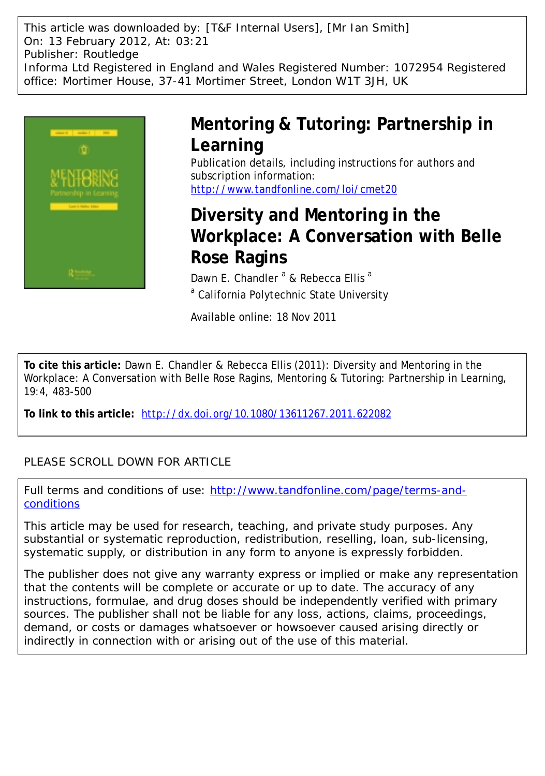This article was downloaded by: [T&F Internal Users], [Mr Ian Smith] On: 13 February 2012, At: 03:21 Publisher: Routledge Informa Ltd Registered in England and Wales Registered Number: 1072954 Registered office: Mortimer House, 37-41 Mortimer Street, London W1T 3JH, UK



# **Mentoring & Tutoring: Partnership in Learning**

Publication details, including instructions for authors and subscription information: <http://www.tandfonline.com/loi/cmet20>

# **Diversity and Mentoring in the Workplace: A Conversation with Belle Rose Ragins**

Dawn E. Chandler <sup>a</sup> & Rebecca Ellis<sup>a</sup> <sup>a</sup> California Polytechnic State University

Available online: 18 Nov 2011

**To cite this article:** Dawn E. Chandler & Rebecca Ellis (2011): Diversity and Mentoring in the Workplace: A Conversation with Belle Rose Ragins, Mentoring & Tutoring: Partnership in Learning, 19:4, 483-500

**To link to this article:** <http://dx.doi.org/10.1080/13611267.2011.622082>

# PLEASE SCROLL DOWN FOR ARTICLE

Full terms and conditions of use: [http://www.tandfonline.com/page/terms-and](http://www.tandfonline.com/page/terms-and-conditions)[conditions](http://www.tandfonline.com/page/terms-and-conditions)

This article may be used for research, teaching, and private study purposes. Any substantial or systematic reproduction, redistribution, reselling, loan, sub-licensing, systematic supply, or distribution in any form to anyone is expressly forbidden.

The publisher does not give any warranty express or implied or make any representation that the contents will be complete or accurate or up to date. The accuracy of any instructions, formulae, and drug doses should be independently verified with primary sources. The publisher shall not be liable for any loss, actions, claims, proceedings, demand, or costs or damages whatsoever or howsoever caused arising directly or indirectly in connection with or arising out of the use of this material.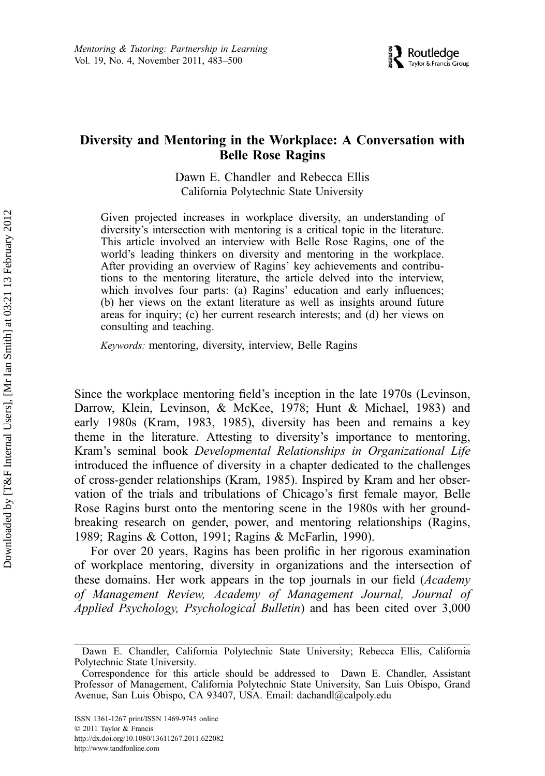

# Diversity and Mentoring in the Workplace: A Conversation with Belle Rose Ragins

Dawn E. Chandler, and Rebecca Ellis California Polytechnic State University

Given projected increases in workplace diversity, an understanding of diversity's intersection with mentoring is a critical topic in the literature. This article involved an interview with Belle Rose Ragins, one of the world's leading thinkers on diversity and mentoring in the workplace. After providing an overview of Ragins' key achievements and contributions to the mentoring literature, the article delved into the interview, which involves four parts: (a) Ragins' education and early influences; (b) her views on the extant literature as well as insights around future areas for inquiry; (c) her current research interests; and (d) her views on consulting and teaching.

Keywords: mentoring, diversity, interview, Belle Ragins

Since the workplace mentoring field's inception in the late 1970s (Levinson, Darrow, Klein, Levinson, & McKee, 1978; Hunt & Michael, 1983) and early 1980s (Kram, 1983, 1985), diversity has been and remains a key theme in the literature. Attesting to diversity's importance to mentoring, Kram's seminal book Developmental Relationships in Organizational Life introduced the influence of diversity in a chapter dedicated to the challenges of cross-gender relationships (Kram, 1985). Inspired by Kram and her observation of the trials and tribulations of Chicago's first female mayor, Belle Rose Ragins burst onto the mentoring scene in the 1980s with her groundbreaking research on gender, power, and mentoring relationships (Ragins, 1989; Ragins & Cotton, 1991; Ragins & McFarlin, 1990).

For over 20 years, Ragins has been prolific in her rigorous examination of workplace mentoring, diversity in organizations and the intersection of these domains. Her work appears in the top journals in our field (Academy of Management Review, Academy of Management Journal, Journal of Applied Psychology, Psychological Bulletin) and has been cited over 3,000

Dawn E. Chandler, California Polytechnic State University; Rebecca Ellis, California Polytechnic State University.

Correspondence for this article should be addressed to Dawn E. Chandler, Assistant Professor of Management, California Polytechnic State University, San Luis Obispo, Grand Avenue, San Luis Obispo, CA 93407, USA. Email: dachandl@calpoly.edu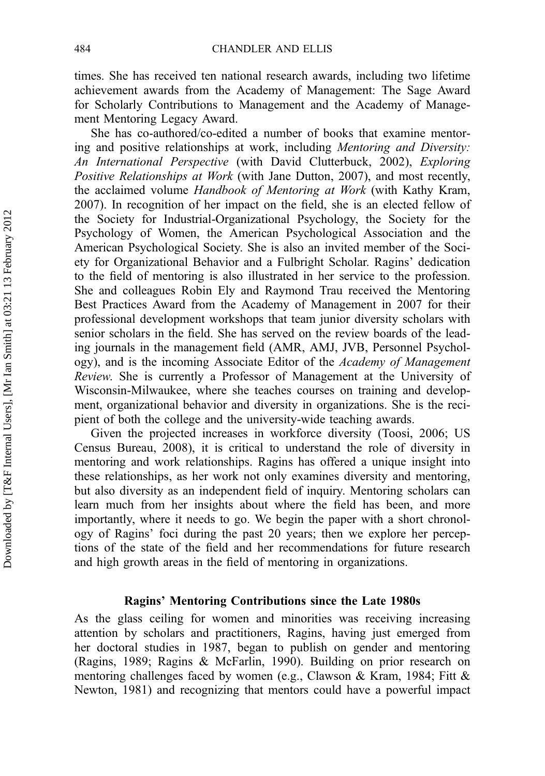times. She has received ten national research awards, including two lifetime achievement awards from the Academy of Management: The Sage Award for Scholarly Contributions to Management and the Academy of Management Mentoring Legacy Award.

She has co-authored/co-edited a number of books that examine mentoring and positive relationships at work, including Mentoring and Diversity: An International Perspective (with David Clutterbuck, 2002), Exploring Positive Relationships at Work (with Jane Dutton, 2007), and most recently, the acclaimed volume *Handbook of Mentoring at Work* (with Kathy Kram, 2007). In recognition of her impact on the field, she is an elected fellow of the Society for Industrial-Organizational Psychology, the Society for the Psychology of Women, the American Psychological Association and the American Psychological Society. She is also an invited member of the Society for Organizational Behavior and a Fulbright Scholar. Ragins' dedication to the field of mentoring is also illustrated in her service to the profession. She and colleagues Robin Ely and Raymond Trau received the Mentoring Best Practices Award from the Academy of Management in 2007 for their professional development workshops that team junior diversity scholars with senior scholars in the field. She has served on the review boards of the leading journals in the management field (AMR, AMJ, JVB, Personnel Psychology), and is the incoming Associate Editor of the Academy of Management Review. She is currently a Professor of Management at the University of Wisconsin-Milwaukee, where she teaches courses on training and development, organizational behavior and diversity in organizations. She is the recipient of both the college and the university-wide teaching awards.

Given the projected increases in workforce diversity (Toosi, 2006; US Census Bureau, 2008), it is critical to understand the role of diversity in mentoring and work relationships. Ragins has offered a unique insight into these relationships, as her work not only examines diversity and mentoring, but also diversity as an independent field of inquiry. Mentoring scholars can learn much from her insights about where the field has been, and more importantly, where it needs to go. We begin the paper with a short chronology of Ragins' foci during the past 20 years; then we explore her perceptions of the state of the field and her recommendations for future research and high growth areas in the field of mentoring in organizations.

#### Ragins' Mentoring Contributions since the Late 1980s

As the glass ceiling for women and minorities was receiving increasing attention by scholars and practitioners, Ragins, having just emerged from her doctoral studies in 1987, began to publish on gender and mentoring (Ragins, 1989; Ragins & McFarlin, 1990). Building on prior research on mentoring challenges faced by women (e.g., Clawson & Kram, 1984; Fitt & Newton, 1981) and recognizing that mentors could have a powerful impact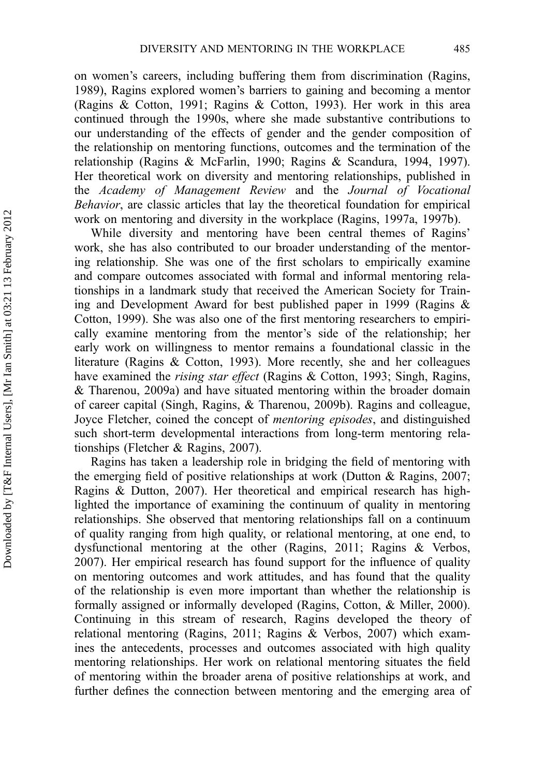on women's careers, including buffering them from discrimination (Ragins, 1989), Ragins explored women's barriers to gaining and becoming a mentor (Ragins & Cotton, 1991; Ragins & Cotton, 1993). Her work in this area continued through the 1990s, where she made substantive contributions to our understanding of the effects of gender and the gender composition of the relationship on mentoring functions, outcomes and the termination of the relationship (Ragins & McFarlin, 1990; Ragins & Scandura, 1994, 1997). Her theoretical work on diversity and mentoring relationships, published in the Academy of Management Review and the Journal of Vocational Behavior, are classic articles that lay the theoretical foundation for empirical work on mentoring and diversity in the workplace (Ragins, 1997a, 1997b).

While diversity and mentoring have been central themes of Ragins' work, she has also contributed to our broader understanding of the mentoring relationship. She was one of the first scholars to empirically examine and compare outcomes associated with formal and informal mentoring relationships in a landmark study that received the American Society for Training and Development Award for best published paper in 1999 (Ragins & Cotton, 1999). She was also one of the first mentoring researchers to empirically examine mentoring from the mentor's side of the relationship; her early work on willingness to mentor remains a foundational classic in the literature (Ragins & Cotton, 1993). More recently, she and her colleagues have examined the *rising star effect* (Ragins & Cotton, 1993; Singh, Ragins, & Tharenou, 2009a) and have situated mentoring within the broader domain of career capital (Singh, Ragins, & Tharenou, 2009b). Ragins and colleague, Joyce Fletcher, coined the concept of *mentoring episodes*, and distinguished such short-term developmental interactions from long-term mentoring relationships (Fletcher & Ragins, 2007).

Ragins has taken a leadership role in bridging the field of mentoring with the emerging field of positive relationships at work (Dutton & Ragins, 2007; Ragins & Dutton, 2007). Her theoretical and empirical research has highlighted the importance of examining the continuum of quality in mentoring relationships. She observed that mentoring relationships fall on a continuum of quality ranging from high quality, or relational mentoring, at one end, to dysfunctional mentoring at the other (Ragins, 2011; Ragins & Verbos, 2007). Her empirical research has found support for the influence of quality on mentoring outcomes and work attitudes, and has found that the quality of the relationship is even more important than whether the relationship is formally assigned or informally developed (Ragins, Cotton, & Miller, 2000). Continuing in this stream of research, Ragins developed the theory of relational mentoring (Ragins, 2011; Ragins & Verbos, 2007) which examines the antecedents, processes and outcomes associated with high quality mentoring relationships. Her work on relational mentoring situates the field of mentoring within the broader arena of positive relationships at work, and further defines the connection between mentoring and the emerging area of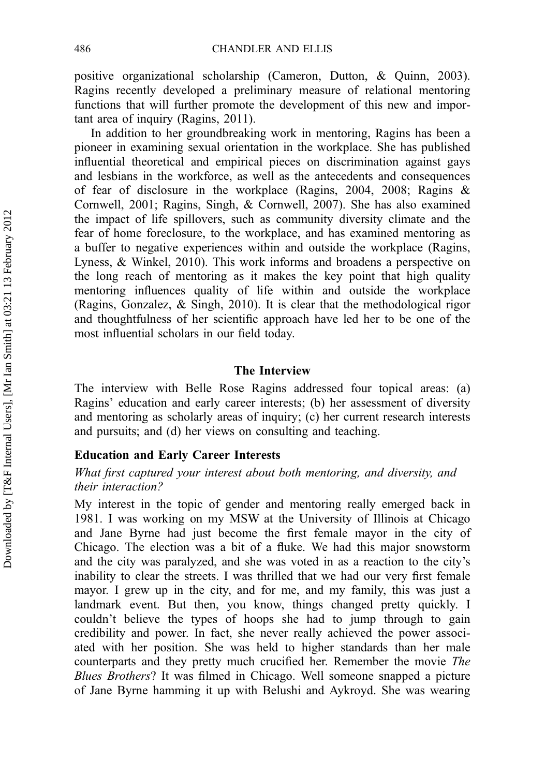positive organizational scholarship (Cameron, Dutton, & Quinn, 2003). Ragins recently developed a preliminary measure of relational mentoring functions that will further promote the development of this new and important area of inquiry (Ragins, 2011).

In addition to her groundbreaking work in mentoring, Ragins has been a pioneer in examining sexual orientation in the workplace. She has published influential theoretical and empirical pieces on discrimination against gays and lesbians in the workforce, as well as the antecedents and consequences of fear of disclosure in the workplace (Ragins, 2004, 2008; Ragins & Cornwell, 2001; Ragins, Singh, & Cornwell, 2007). She has also examined the impact of life spillovers, such as community diversity climate and the fear of home foreclosure, to the workplace, and has examined mentoring as a buffer to negative experiences within and outside the workplace (Ragins, Lyness, & Winkel, 2010). This work informs and broadens a perspective on the long reach of mentoring as it makes the key point that high quality mentoring influences quality of life within and outside the workplace (Ragins, Gonzalez, & Singh, 2010). It is clear that the methodological rigor and thoughtfulness of her scientific approach have led her to be one of the most influential scholars in our field today.

#### The Interview

The interview with Belle Rose Ragins addressed four topical areas: (a) Ragins' education and early career interests; (b) her assessment of diversity and mentoring as scholarly areas of inquiry; (c) her current research interests and pursuits; and (d) her views on consulting and teaching.

#### Education and Early Career Interests

## What first captured your interest about both mentoring, and diversity, and their interaction?

My interest in the topic of gender and mentoring really emerged back in 1981. I was working on my MSW at the University of Illinois at Chicago and Jane Byrne had just become the first female mayor in the city of Chicago. The election was a bit of a fluke. We had this major snowstorm and the city was paralyzed, and she was voted in as a reaction to the city's inability to clear the streets. I was thrilled that we had our very first female mayor. I grew up in the city, and for me, and my family, this was just a landmark event. But then, you know, things changed pretty quickly. I couldn't believe the types of hoops she had to jump through to gain credibility and power. In fact, she never really achieved the power associated with her position. She was held to higher standards than her male counterparts and they pretty much crucified her. Remember the movie The Blues Brothers? It was filmed in Chicago. Well someone snapped a picture of Jane Byrne hamming it up with Belushi and Aykroyd. She was wearing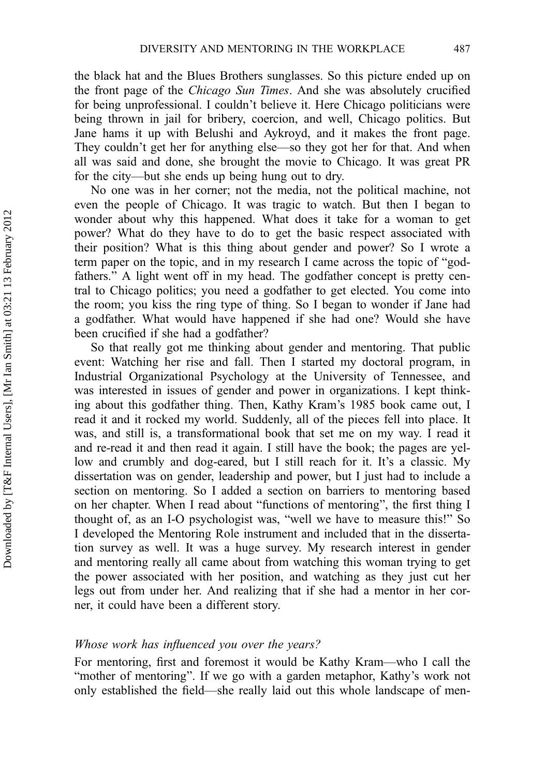the black hat and the Blues Brothers sunglasses. So this picture ended up on the front page of the Chicago Sun Times. And she was absolutely crucified for being unprofessional. I couldn't believe it. Here Chicago politicians were being thrown in jail for bribery, coercion, and well, Chicago politics. But Jane hams it up with Belushi and Aykroyd, and it makes the front page. They couldn't get her for anything else—so they got her for that. And when all was said and done, she brought the movie to Chicago. It was great PR for the city—but she ends up being hung out to dry.

No one was in her corner; not the media, not the political machine, not even the people of Chicago. It was tragic to watch. But then I began to wonder about why this happened. What does it take for a woman to get power? What do they have to do to get the basic respect associated with their position? What is this thing about gender and power? So I wrote a term paper on the topic, and in my research I came across the topic of "godfathers." A light went off in my head. The godfather concept is pretty central to Chicago politics; you need a godfather to get elected. You come into the room; you kiss the ring type of thing. So I began to wonder if Jane had a godfather. What would have happened if she had one? Would she have been crucified if she had a godfather?

So that really got me thinking about gender and mentoring. That public event: Watching her rise and fall. Then I started my doctoral program, in Industrial Organizational Psychology at the University of Tennessee, and was interested in issues of gender and power in organizations. I kept thinking about this godfather thing. Then, Kathy Kram's 1985 book came out, I read it and it rocked my world. Suddenly, all of the pieces fell into place. It was, and still is, a transformational book that set me on my way. I read it and re-read it and then read it again. I still have the book; the pages are yellow and crumbly and dog-eared, but I still reach for it. It's a classic. My dissertation was on gender, leadership and power, but I just had to include a section on mentoring. So I added a section on barriers to mentoring based on her chapter. When I read about "functions of mentoring", the first thing I thought of, as an I-O psychologist was, "well we have to measure this!" So I developed the Mentoring Role instrument and included that in the dissertation survey as well. It was a huge survey. My research interest in gender and mentoring really all came about from watching this woman trying to get the power associated with her position, and watching as they just cut her legs out from under her. And realizing that if she had a mentor in her corner, it could have been a different story.

#### Whose work has influenced you over the years?

For mentoring, first and foremost it would be Kathy Kram—who I call the "mother of mentoring". If we go with a garden metaphor, Kathy's work not only established the field—she really laid out this whole landscape of men-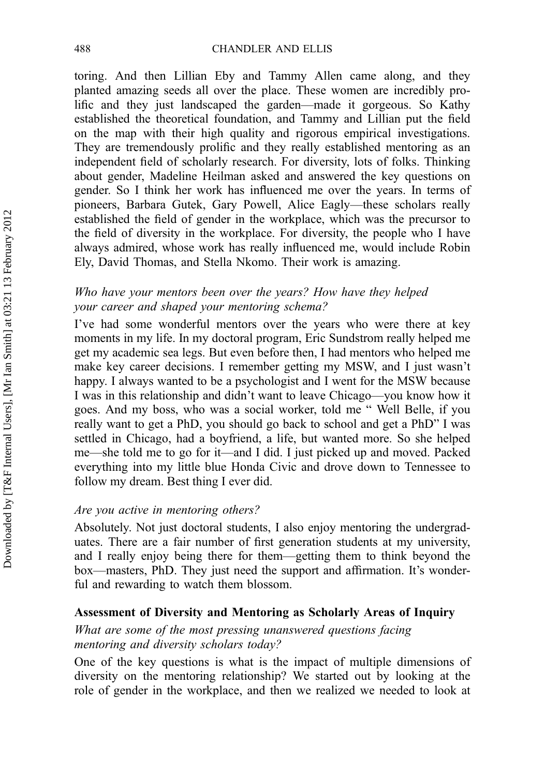#### 488 CHANDLER AND ELLIS

toring. And then Lillian Eby and Tammy Allen came along, and they planted amazing seeds all over the place. These women are incredibly prolific and they just landscaped the garden—made it gorgeous. So Kathy established the theoretical foundation, and Tammy and Lillian put the field on the map with their high quality and rigorous empirical investigations. They are tremendously prolific and they really established mentoring as an independent field of scholarly research. For diversity, lots of folks. Thinking about gender, Madeline Heilman asked and answered the key questions on gender. So I think her work has influenced me over the years. In terms of pioneers, Barbara Gutek, Gary Powell, Alice Eagly—these scholars really established the field of gender in the workplace, which was the precursor to the field of diversity in the workplace. For diversity, the people who I have always admired, whose work has really influenced me, would include Robin Ely, David Thomas, and Stella Nkomo. Their work is amazing.

## Who have your mentors been over the years? How have they helped your career and shaped your mentoring schema?

I've had some wonderful mentors over the years who were there at key moments in my life. In my doctoral program, Eric Sundstrom really helped me get my academic sea legs. But even before then, I had mentors who helped me make key career decisions. I remember getting my MSW, and I just wasn't happy. I always wanted to be a psychologist and I went for the MSW because I was in this relationship and didn't want to leave Chicago—you know how it goes. And my boss, who was a social worker, told me " Well Belle, if you really want to get a PhD, you should go back to school and get a PhD" I was settled in Chicago, had a boyfriend, a life, but wanted more. So she helped me—she told me to go for it—and I did. I just picked up and moved. Packed everything into my little blue Honda Civic and drove down to Tennessee to follow my dream. Best thing I ever did.

#### Are you active in mentoring others?

Absolutely. Not just doctoral students, I also enjoy mentoring the undergraduates. There are a fair number of first generation students at my university, and I really enjoy being there for them—getting them to think beyond the box—masters, PhD. They just need the support and affirmation. It's wonderful and rewarding to watch them blossom.

## Assessment of Diversity and Mentoring as Scholarly Areas of Inquiry

## What are some of the most pressing unanswered questions facing mentoring and diversity scholars today?

One of the key questions is what is the impact of multiple dimensions of diversity on the mentoring relationship? We started out by looking at the role of gender in the workplace, and then we realized we needed to look at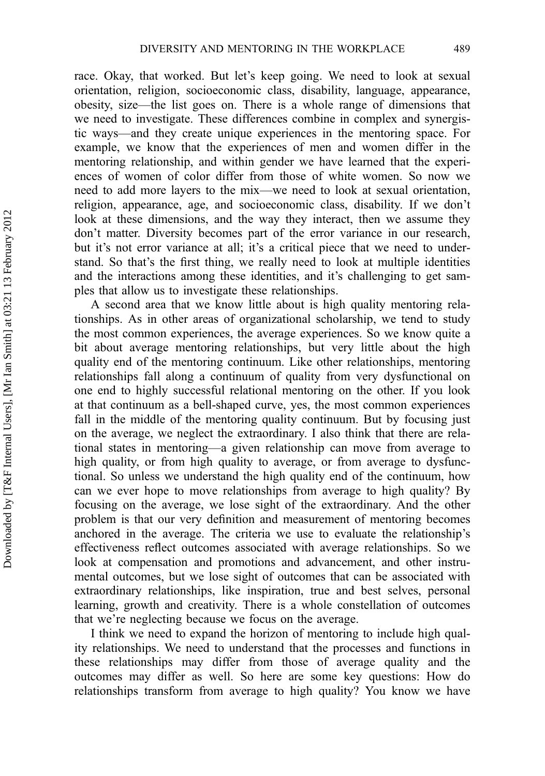race. Okay, that worked. But let's keep going. We need to look at sexual orientation, religion, socioeconomic class, disability, language, appearance, obesity, size—the list goes on. There is a whole range of dimensions that we need to investigate. These differences combine in complex and synergistic ways—and they create unique experiences in the mentoring space. For example, we know that the experiences of men and women differ in the mentoring relationship, and within gender we have learned that the experiences of women of color differ from those of white women. So now we need to add more layers to the mix—we need to look at sexual orientation, religion, appearance, age, and socioeconomic class, disability. If we don't look at these dimensions, and the way they interact, then we assume they don't matter. Diversity becomes part of the error variance in our research, but it's not error variance at all; it's a critical piece that we need to understand. So that's the first thing, we really need to look at multiple identities and the interactions among these identities, and it's challenging to get samples that allow us to investigate these relationships.

A second area that we know little about is high quality mentoring relationships. As in other areas of organizational scholarship, we tend to study the most common experiences, the average experiences. So we know quite a bit about average mentoring relationships, but very little about the high quality end of the mentoring continuum. Like other relationships, mentoring relationships fall along a continuum of quality from very dysfunctional on one end to highly successful relational mentoring on the other. If you look at that continuum as a bell-shaped curve, yes, the most common experiences fall in the middle of the mentoring quality continuum. But by focusing just on the average, we neglect the extraordinary. I also think that there are relational states in mentoring—a given relationship can move from average to high quality, or from high quality to average, or from average to dysfunctional. So unless we understand the high quality end of the continuum, how can we ever hope to move relationships from average to high quality? By focusing on the average, we lose sight of the extraordinary. And the other problem is that our very definition and measurement of mentoring becomes anchored in the average. The criteria we use to evaluate the relationship's effectiveness reflect outcomes associated with average relationships. So we look at compensation and promotions and advancement, and other instrumental outcomes, but we lose sight of outcomes that can be associated with extraordinary relationships, like inspiration, true and best selves, personal learning, growth and creativity. There is a whole constellation of outcomes that we're neglecting because we focus on the average.

I think we need to expand the horizon of mentoring to include high quality relationships. We need to understand that the processes and functions in these relationships may differ from those of average quality and the outcomes may differ as well. So here are some key questions: How do relationships transform from average to high quality? You know we have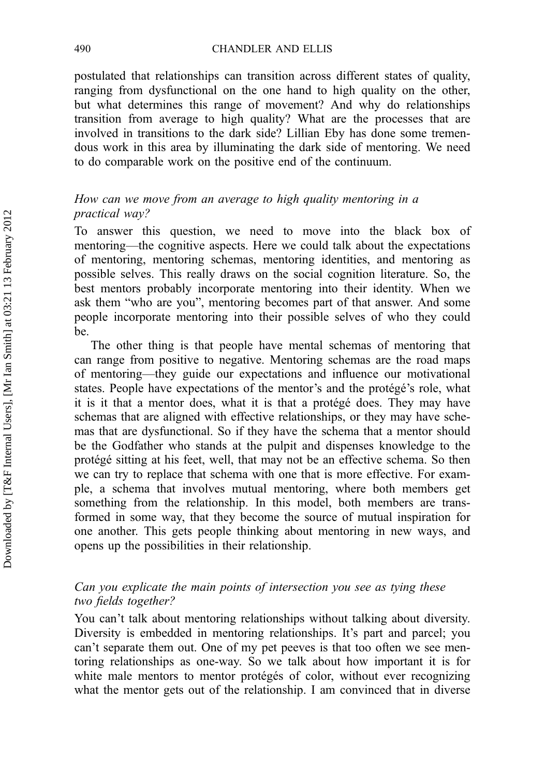postulated that relationships can transition across different states of quality, ranging from dysfunctional on the one hand to high quality on the other, but what determines this range of movement? And why do relationships transition from average to high quality? What are the processes that are involved in transitions to the dark side? Lillian Eby has done some tremendous work in this area by illuminating the dark side of mentoring. We need to do comparable work on the positive end of the continuum.

## How can we move from an average to high quality mentoring in a practical way?

To answer this question, we need to move into the black box of mentoring—the cognitive aspects. Here we could talk about the expectations of mentoring, mentoring schemas, mentoring identities, and mentoring as possible selves. This really draws on the social cognition literature. So, the best mentors probably incorporate mentoring into their identity. When we ask them "who are you", mentoring becomes part of that answer. And some people incorporate mentoring into their possible selves of who they could be.

The other thing is that people have mental schemas of mentoring that can range from positive to negative. Mentoring schemas are the road maps of mentoring—they guide our expectations and influence our motivational states. People have expectations of the mentor's and the protégé's role, what it is it that a mentor does, what it is that a protégé does. They may have schemas that are aligned with effective relationships, or they may have schemas that are dysfunctional. So if they have the schema that a mentor should be the Godfather who stands at the pulpit and dispenses knowledge to the protégé sitting at his feet, well, that may not be an effective schema. So then we can try to replace that schema with one that is more effective. For example, a schema that involves mutual mentoring, where both members get something from the relationship. In this model, both members are transformed in some way, that they become the source of mutual inspiration for one another. This gets people thinking about mentoring in new ways, and opens up the possibilities in their relationship.

## Can you explicate the main points of intersection you see as tying these two fields together?

You can't talk about mentoring relationships without talking about diversity. Diversity is embedded in mentoring relationships. It's part and parcel; you can't separate them out. One of my pet peeves is that too often we see mentoring relationships as one-way. So we talk about how important it is for white male mentors to mentor protégés of color, without ever recognizing what the mentor gets out of the relationship. I am convinced that in diverse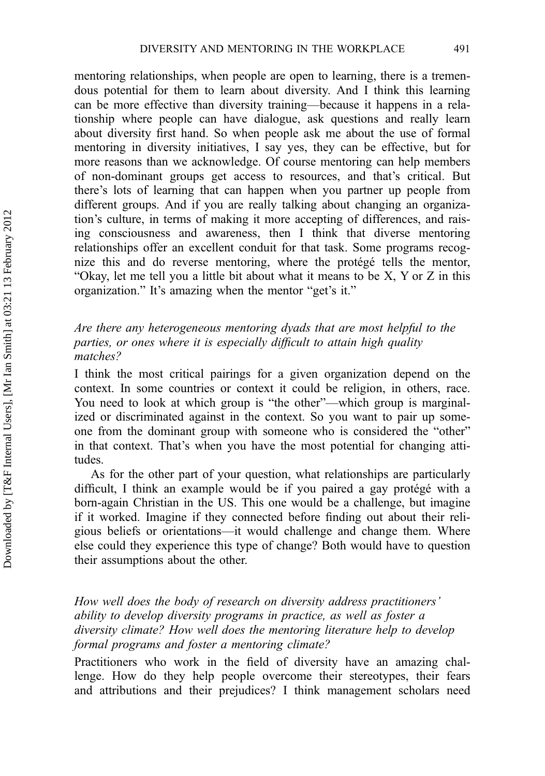mentoring relationships, when people are open to learning, there is a tremendous potential for them to learn about diversity. And I think this learning can be more effective than diversity training—because it happens in a relationship where people can have dialogue, ask questions and really learn about diversity first hand. So when people ask me about the use of formal mentoring in diversity initiatives, I say yes, they can be effective, but for more reasons than we acknowledge. Of course mentoring can help members of non-dominant groups get access to resources, and that's critical. But there's lots of learning that can happen when you partner up people from different groups. And if you are really talking about changing an organization's culture, in terms of making it more accepting of differences, and raising consciousness and awareness, then I think that diverse mentoring relationships offer an excellent conduit for that task. Some programs recognize this and do reverse mentoring, where the protégé tells the mentor, "Okay, let me tell you a little bit about what it means to be  $X$ ,  $Y$  or  $Z$  in this organization." It's amazing when the mentor "get's it."

## Are there any heterogeneous mentoring dyads that are most helpful to the parties, or ones where it is especially difficult to attain high quality matches?

I think the most critical pairings for a given organization depend on the context. In some countries or context it could be religion, in others, race. You need to look at which group is "the other"—which group is marginalized or discriminated against in the context. So you want to pair up someone from the dominant group with someone who is considered the "other" in that context. That's when you have the most potential for changing attitudes.

As for the other part of your question, what relationships are particularly difficult, I think an example would be if you paired a gay protégé with a born-again Christian in the US. This one would be a challenge, but imagine if it worked. Imagine if they connected before finding out about their religious beliefs or orientations—it would challenge and change them. Where else could they experience this type of change? Both would have to question their assumptions about the other.

How well does the body of research on diversity address practitioners' ability to develop diversity programs in practice, as well as foster a diversity climate? How well does the mentoring literature help to develop formal programs and foster a mentoring climate?

Practitioners who work in the field of diversity have an amazing challenge. How do they help people overcome their stereotypes, their fears and attributions and their prejudices? I think management scholars need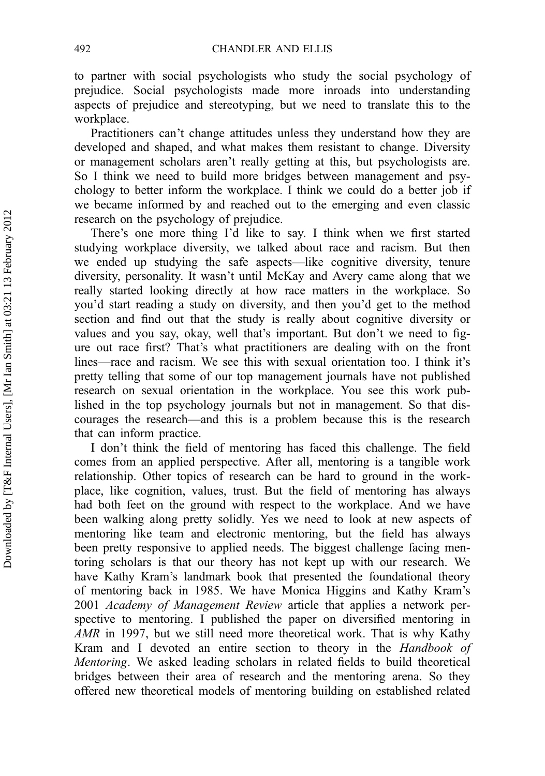to partner with social psychologists who study the social psychology of prejudice. Social psychologists made more inroads into understanding aspects of prejudice and stereotyping, but we need to translate this to the workplace.

Practitioners can't change attitudes unless they understand how they are developed and shaped, and what makes them resistant to change. Diversity or management scholars aren't really getting at this, but psychologists are. So I think we need to build more bridges between management and psychology to better inform the workplace. I think we could do a better job if we became informed by and reached out to the emerging and even classic research on the psychology of prejudice.

There's one more thing I'd like to say. I think when we first started studying workplace diversity, we talked about race and racism. But then we ended up studying the safe aspects—like cognitive diversity, tenure diversity, personality. It wasn't until McKay and Avery came along that we really started looking directly at how race matters in the workplace. So you'd start reading a study on diversity, and then you'd get to the method section and find out that the study is really about cognitive diversity or values and you say, okay, well that's important. But don't we need to figure out race first? That's what practitioners are dealing with on the front lines—race and racism. We see this with sexual orientation too. I think it's pretty telling that some of our top management journals have not published research on sexual orientation in the workplace. You see this work published in the top psychology journals but not in management. So that discourages the research—and this is a problem because this is the research that can inform practice.

I don't think the field of mentoring has faced this challenge. The field comes from an applied perspective. After all, mentoring is a tangible work relationship. Other topics of research can be hard to ground in the workplace, like cognition, values, trust. But the field of mentoring has always had both feet on the ground with respect to the workplace. And we have been walking along pretty solidly. Yes we need to look at new aspects of mentoring like team and electronic mentoring, but the field has always been pretty responsive to applied needs. The biggest challenge facing mentoring scholars is that our theory has not kept up with our research. We have Kathy Kram's landmark book that presented the foundational theory of mentoring back in 1985. We have Monica Higgins and Kathy Kram's 2001 *Academy of Management Review* article that applies a network perspective to mentoring. I published the paper on diversified mentoring in AMR in 1997, but we still need more theoretical work. That is why Kathy Kram and I devoted an entire section to theory in the Handbook of Mentoring. We asked leading scholars in related fields to build theoretical bridges between their area of research and the mentoring arena. So they offered new theoretical models of mentoring building on established related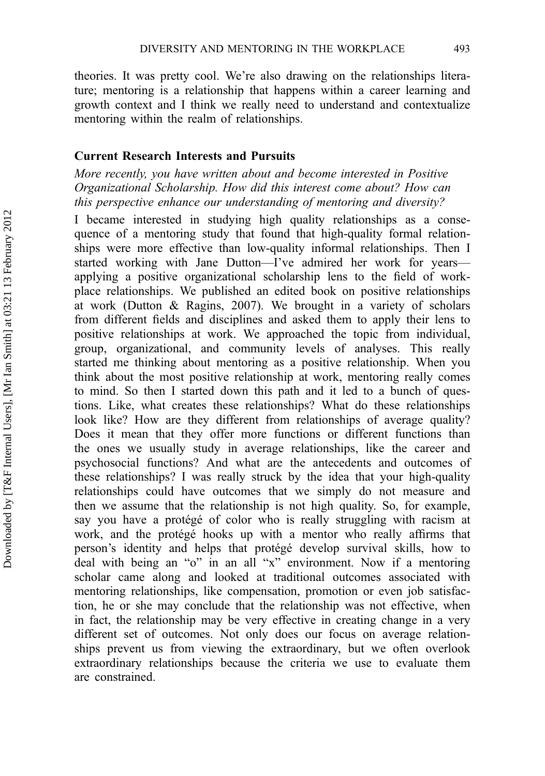theories. It was pretty cool. We're also drawing on the relationships literature; mentoring is a relationship that happens within a career learning and growth context and I think we really need to understand and contextualize mentoring within the realm of relationships.

### Current Research Interests and Pursuits

More recently, you have written about and become interested in Positive Organizational Scholarship. How did this interest come about? How can this perspective enhance our understanding of mentoring and diversity?

I became interested in studying high quality relationships as a consequence of a mentoring study that found that high-quality formal relationships were more effective than low-quality informal relationships. Then I started working with Jane Dutton—I've admired her work for years applying a positive organizational scholarship lens to the field of workplace relationships. We published an edited book on positive relationships at work (Dutton & Ragins, 2007). We brought in a variety of scholars from different fields and disciplines and asked them to apply their lens to positive relationships at work. We approached the topic from individual, group, organizational, and community levels of analyses. This really started me thinking about mentoring as a positive relationship. When you think about the most positive relationship at work, mentoring really comes to mind. So then I started down this path and it led to a bunch of questions. Like, what creates these relationships? What do these relationships look like? How are they different from relationships of average quality? Does it mean that they offer more functions or different functions than the ones we usually study in average relationships, like the career and psychosocial functions? And what are the antecedents and outcomes of these relationships? I was really struck by the idea that your high-quality relationships could have outcomes that we simply do not measure and then we assume that the relationship is not high quality. So, for example, say you have a protégé of color who is really struggling with racism at work, and the protégé hooks up with a mentor who really affirms that person's identity and helps that protégé develop survival skills, how to deal with being an "o" in an all "x" environment. Now if a mentoring scholar came along and looked at traditional outcomes associated with mentoring relationships, like compensation, promotion or even job satisfaction, he or she may conclude that the relationship was not effective, when in fact, the relationship may be very effective in creating change in a very different set of outcomes. Not only does our focus on average relationships prevent us from viewing the extraordinary, but we often overlook extraordinary relationships because the criteria we use to evaluate them are constrained.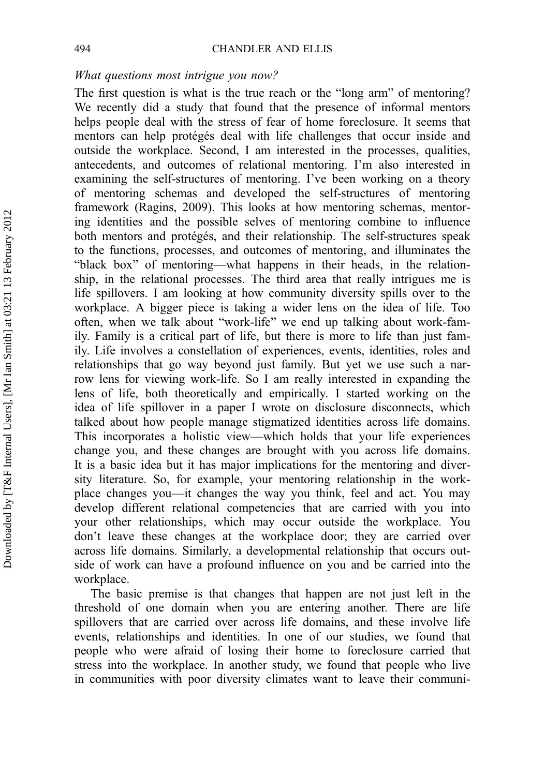### What questions most intrigue you now?

The first question is what is the true reach or the "long arm" of mentoring? We recently did a study that found that the presence of informal mentors helps people deal with the stress of fear of home foreclosure. It seems that mentors can help protégés deal with life challenges that occur inside and outside the workplace. Second, I am interested in the processes, qualities, antecedents, and outcomes of relational mentoring. I'm also interested in examining the self-structures of mentoring. I've been working on a theory of mentoring schemas and developed the self-structures of mentoring framework (Ragins, 2009). This looks at how mentoring schemas, mentoring identities and the possible selves of mentoring combine to influence both mentors and protégés, and their relationship. The self-structures speak to the functions, processes, and outcomes of mentoring, and illuminates the "black box" of mentoring—what happens in their heads, in the relationship, in the relational processes. The third area that really intrigues me is life spillovers. I am looking at how community diversity spills over to the workplace. A bigger piece is taking a wider lens on the idea of life. Too often, when we talk about "work-life" we end up talking about work-family. Family is a critical part of life, but there is more to life than just family. Life involves a constellation of experiences, events, identities, roles and relationships that go way beyond just family. But yet we use such a narrow lens for viewing work-life. So I am really interested in expanding the lens of life, both theoretically and empirically. I started working on the idea of life spillover in a paper I wrote on disclosure disconnects, which talked about how people manage stigmatized identities across life domains. This incorporates a holistic view—which holds that your life experiences change you, and these changes are brought with you across life domains. It is a basic idea but it has major implications for the mentoring and diversity literature. So, for example, your mentoring relationship in the workplace changes you—it changes the way you think, feel and act. You may develop different relational competencies that are carried with you into your other relationships, which may occur outside the workplace. You don't leave these changes at the workplace door; they are carried over across life domains. Similarly, a developmental relationship that occurs outside of work can have a profound influence on you and be carried into the workplace.

The basic premise is that changes that happen are not just left in the threshold of one domain when you are entering another. There are life spillovers that are carried over across life domains, and these involve life events, relationships and identities. In one of our studies, we found that people who were afraid of losing their home to foreclosure carried that stress into the workplace. In another study, we found that people who live in communities with poor diversity climates want to leave their communi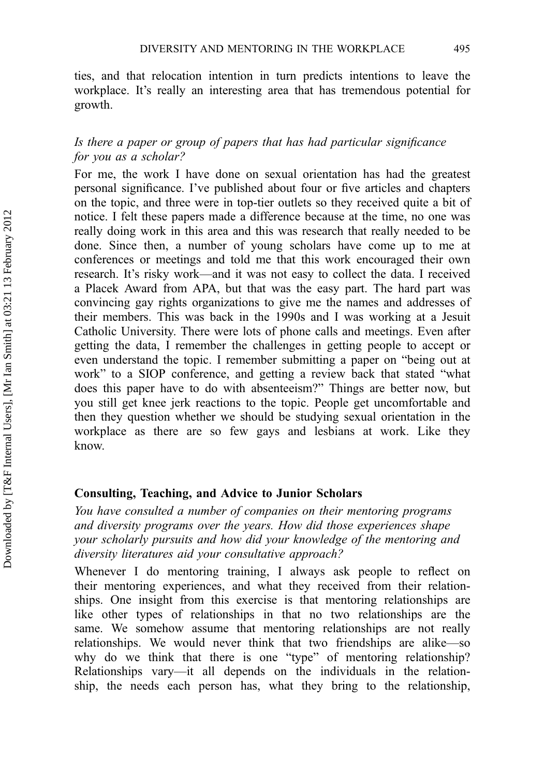ties, and that relocation intention in turn predicts intentions to leave the workplace. It's really an interesting area that has tremendous potential for growth.

## Is there a paper or group of papers that has had particular significance for you as a scholar?

For me, the work I have done on sexual orientation has had the greatest personal significance. I've published about four or five articles and chapters on the topic, and three were in top-tier outlets so they received quite a bit of notice. I felt these papers made a difference because at the time, no one was really doing work in this area and this was research that really needed to be done. Since then, a number of young scholars have come up to me at conferences or meetings and told me that this work encouraged their own research. It's risky work—and it was not easy to collect the data. I received a Placek Award from APA, but that was the easy part. The hard part was convincing gay rights organizations to give me the names and addresses of their members. This was back in the 1990s and I was working at a Jesuit Catholic University. There were lots of phone calls and meetings. Even after getting the data, I remember the challenges in getting people to accept or even understand the topic. I remember submitting a paper on "being out at work" to a SIOP conference, and getting a review back that stated "what does this paper have to do with absenteeism?" Things are better now, but you still get knee jerk reactions to the topic. People get uncomfortable and then they question whether we should be studying sexual orientation in the workplace as there are so few gays and lesbians at work. Like they know.

### Consulting, Teaching, and Advice to Junior Scholars

You have consulted a number of companies on their mentoring programs and diversity programs over the years. How did those experiences shape your scholarly pursuits and how did your knowledge of the mentoring and diversity literatures aid your consultative approach?

Whenever I do mentoring training, I always ask people to reflect on their mentoring experiences, and what they received from their relationships. One insight from this exercise is that mentoring relationships are like other types of relationships in that no two relationships are the same. We somehow assume that mentoring relationships are not really relationships. We would never think that two friendships are alike—so why do we think that there is one "type" of mentoring relationship? Relationships vary—it all depends on the individuals in the relationship, the needs each person has, what they bring to the relationship,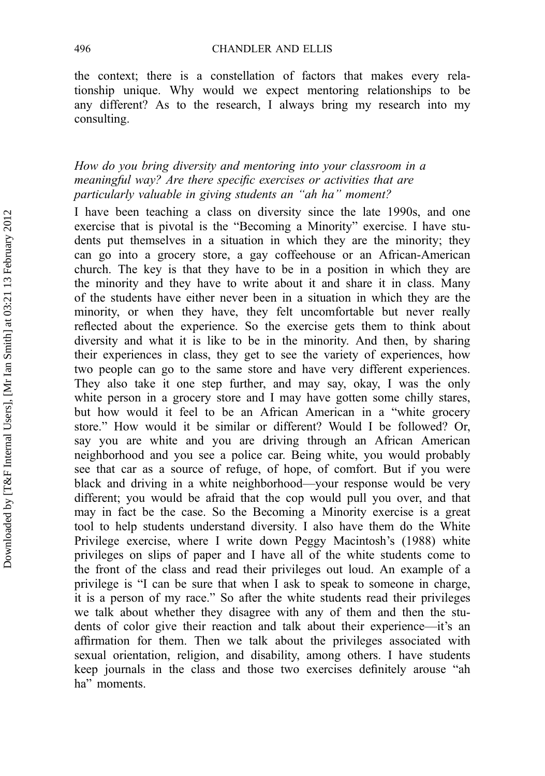the context; there is a constellation of factors that makes every relationship unique. Why would we expect mentoring relationships to be any different? As to the research, I always bring my research into my consulting.

# How do you bring diversity and mentoring into your classroom in a meaningful way? Are there specific exercises or activities that are particularly valuable in giving students an "ah ha" moment?

I have been teaching a class on diversity since the late 1990s, and one exercise that is pivotal is the "Becoming a Minority" exercise. I have students put themselves in a situation in which they are the minority; they can go into a grocery store, a gay coffeehouse or an African-American church. The key is that they have to be in a position in which they are the minority and they have to write about it and share it in class. Many of the students have either never been in a situation in which they are the minority, or when they have, they felt uncomfortable but never really reflected about the experience. So the exercise gets them to think about diversity and what it is like to be in the minority. And then, by sharing their experiences in class, they get to see the variety of experiences, how two people can go to the same store and have very different experiences. They also take it one step further, and may say, okay, I was the only white person in a grocery store and I may have gotten some chilly stares, but how would it feel to be an African American in a "white grocery store." How would it be similar or different? Would I be followed? Or, say you are white and you are driving through an African American neighborhood and you see a police car. Being white, you would probably see that car as a source of refuge, of hope, of comfort. But if you were black and driving in a white neighborhood—your response would be very different; you would be afraid that the cop would pull you over, and that may in fact be the case. So the Becoming a Minority exercise is a great tool to help students understand diversity. I also have them do the White Privilege exercise, where I write down Peggy Macintosh's (1988) white privileges on slips of paper and I have all of the white students come to the front of the class and read their privileges out loud. An example of a privilege is "I can be sure that when I ask to speak to someone in charge, it is a person of my race." So after the white students read their privileges we talk about whether they disagree with any of them and then the students of color give their reaction and talk about their experience—it's an affirmation for them. Then we talk about the privileges associated with sexual orientation, religion, and disability, among others. I have students keep journals in the class and those two exercises definitely arouse "ah ha" moments.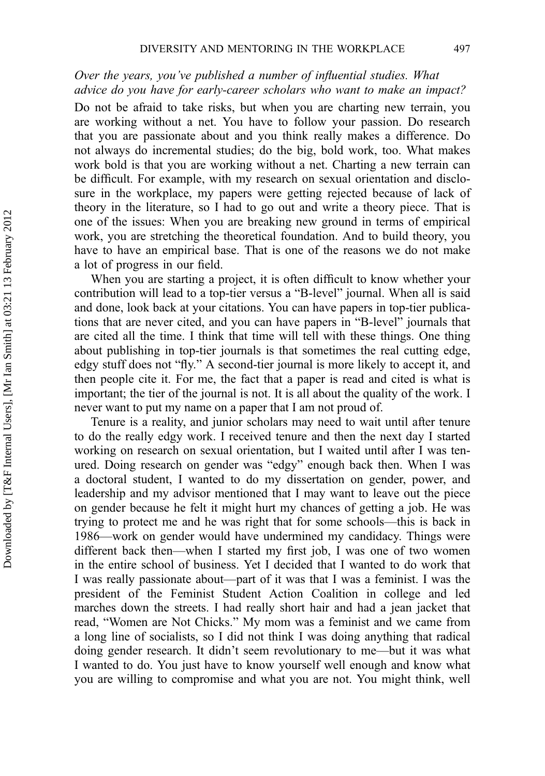## Over the years, you've published a number of influential studies. What advice do you have for early-career scholars who want to make an impact?

Do not be afraid to take risks, but when you are charting new terrain, you are working without a net. You have to follow your passion. Do research that you are passionate about and you think really makes a difference. Do not always do incremental studies; do the big, bold work, too. What makes work bold is that you are working without a net. Charting a new terrain can be difficult. For example, with my research on sexual orientation and disclosure in the workplace, my papers were getting rejected because of lack of theory in the literature, so I had to go out and write a theory piece. That is one of the issues: When you are breaking new ground in terms of empirical work, you are stretching the theoretical foundation. And to build theory, you have to have an empirical base. That is one of the reasons we do not make a lot of progress in our field.

When you are starting a project, it is often difficult to know whether your contribution will lead to a top-tier versus a "B-level" journal. When all is said and done, look back at your citations. You can have papers in top-tier publications that are never cited, and you can have papers in "B-level" journals that are cited all the time. I think that time will tell with these things. One thing about publishing in top-tier journals is that sometimes the real cutting edge, edgy stuff does not "fly." A second-tier journal is more likely to accept it, and then people cite it. For me, the fact that a paper is read and cited is what is important; the tier of the journal is not. It is all about the quality of the work. I never want to put my name on a paper that I am not proud of.

Tenure is a reality, and junior scholars may need to wait until after tenure to do the really edgy work. I received tenure and then the next day I started working on research on sexual orientation, but I waited until after I was tenured. Doing research on gender was "edgy" enough back then. When I was a doctoral student, I wanted to do my dissertation on gender, power, and leadership and my advisor mentioned that I may want to leave out the piece on gender because he felt it might hurt my chances of getting a job. He was trying to protect me and he was right that for some schools—this is back in 1986—work on gender would have undermined my candidacy. Things were different back then—when I started my first job, I was one of two women in the entire school of business. Yet I decided that I wanted to do work that I was really passionate about—part of it was that I was a feminist. I was the president of the Feminist Student Action Coalition in college and led marches down the streets. I had really short hair and had a jean jacket that read, "Women are Not Chicks." My mom was a feminist and we came from a long line of socialists, so I did not think I was doing anything that radical doing gender research. It didn't seem revolutionary to me—but it was what I wanted to do. You just have to know yourself well enough and know what you are willing to compromise and what you are not. You might think, well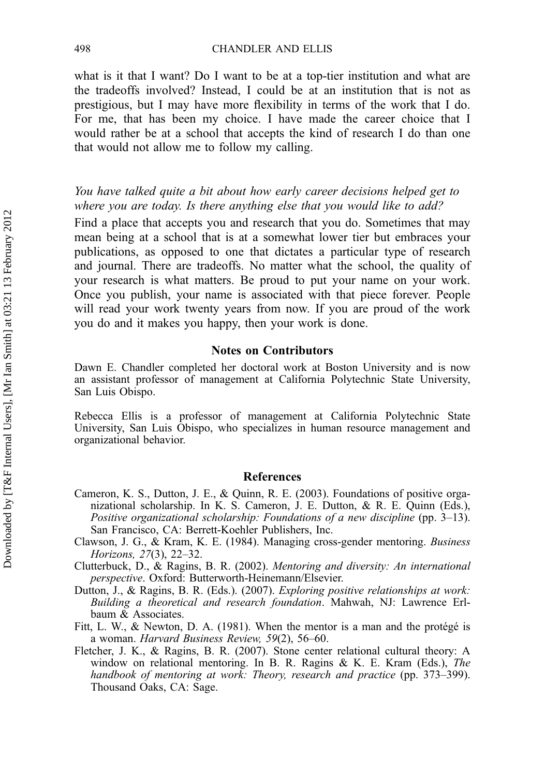what is it that I want? Do I want to be at a top-tier institution and what are the tradeoffs involved? Instead, I could be at an institution that is not as prestigious, but I may have more flexibility in terms of the work that I do. For me, that has been my choice. I have made the career choice that I would rather be at a school that accepts the kind of research I do than one that would not allow me to follow my calling.

## You have talked quite a bit about how early career decisions helped get to where you are today. Is there anything else that you would like to add?

Find a place that accepts you and research that you do. Sometimes that may mean being at a school that is at a somewhat lower tier but embraces your publications, as opposed to one that dictates a particular type of research and journal. There are tradeoffs. No matter what the school, the quality of your research is what matters. Be proud to put your name on your work. Once you publish, your name is associated with that piece forever. People will read your work twenty years from now. If you are proud of the work you do and it makes you happy, then your work is done.

#### Notes on Contributors

Dawn E. Chandler completed her doctoral work at Boston University and is now an assistant professor of management at California Polytechnic State University, San Luis Obispo.

Rebecca Ellis is a professor of management at California Polytechnic State University, San Luis Obispo, who specializes in human resource management and organizational behavior.

#### References

- Cameron, K. S., Dutton, J. E., & Quinn, R. E. (2003). Foundations of positive organizational scholarship. In K. S. Cameron, J. E. Dutton, & R. E. Quinn (Eds.), Positive organizational scholarship: Foundations of a new discipline (pp. 3–13). San Francisco, CA: Berrett-Koehler Publishers, Inc.
- Clawson, J. G., & Kram, K. E. (1984). Managing cross-gender mentoring. Business Horizons, 27(3), 22–32.

Clutterbuck, D., & Ragins, B. R. (2002). Mentoring and diversity: An international perspective. Oxford: Butterworth-Heinemann/Elsevier.

- Dutton, J., & Ragins, B. R. (Eds.). (2007). *Exploring positive relationships at work:* Building a theoretical and research foundation. Mahwah, NJ: Lawrence Erlbaum & Associates.
- Fitt, L. W., & Newton, D. A. (1981). When the mentor is a man and the protégé is a woman. Harvard Business Review, 59(2), 56–60.
- Fletcher, J. K., & Ragins, B. R. (2007). Stone center relational cultural theory: A window on relational mentoring. In B. R. Ragins & K. E. Kram (Eds.), The handbook of mentoring at work: Theory, research and practice (pp. 373–399). Thousand Oaks, CA: Sage.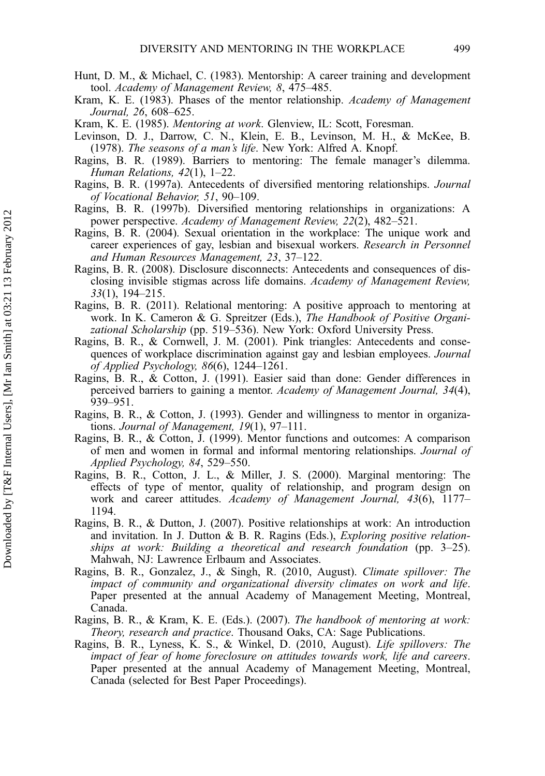- Hunt, D. M., & Michael, C. (1983). Mentorship: A career training and development tool. Academy of Management Review, 8, 475–485.
- Kram, K. E. (1983). Phases of the mentor relationship. Academy of Management Journal, 26, 608–625.
- Kram, K. E. (1985). Mentoring at work. Glenview, IL: Scott, Foresman.
- Levinson, D. J., Darrow, C. N., Klein, E. B., Levinson, M. H., & McKee, B. (1978). The seasons of a man's life. New York: Alfred A. Knopf.
- Ragins, B. R. (1989). Barriers to mentoring: The female manager's dilemma. Human Relations, 42(1), 1–22.
- Ragins, B. R. (1997a). Antecedents of diversified mentoring relationships. Journal of Vocational Behavior, 51, 90–109.
- Ragins, B. R. (1997b). Diversified mentoring relationships in organizations: A power perspective. Academy of Management Review, 22(2), 482–521.
- Ragins, B. R. (2004). Sexual orientation in the workplace: The unique work and career experiences of gay, lesbian and bisexual workers. Research in Personnel and Human Resources Management, 23, 37–122.
- Ragins, B. R. (2008). Disclosure disconnects: Antecedents and consequences of disclosing invisible stigmas across life domains. Academy of Management Review, 33(1), 194–215.
- Ragins, B. R. (2011). Relational mentoring: A positive approach to mentoring at work. In K. Cameron & G. Spreitzer (Eds.), The Handbook of Positive Organizational Scholarship (pp. 519–536). New York: Oxford University Press.
- Ragins, B. R., & Cornwell, J. M. (2001). Pink triangles: Antecedents and consequences of workplace discrimination against gay and lesbian employees. Journal of Applied Psychology, 86(6), 1244–1261.
- Ragins, B. R., & Cotton, J. (1991). Easier said than done: Gender differences in perceived barriers to gaining a mentor. Academy of Management Journal, 34(4), 939–951.
- Ragins, B. R., & Cotton, J. (1993). Gender and willingness to mentor in organizations. Journal of Management, 19(1), 97–111.
- Ragins, B. R., & Cotton, J. (1999). Mentor functions and outcomes: A comparison of men and women in formal and informal mentoring relationships. Journal of Applied Psychology, 84, 529–550.
- Ragins, B. R., Cotton, J. L., & Miller, J. S. (2000). Marginal mentoring: The effects of type of mentor, quality of relationship, and program design on work and career attitudes. Academy of Management Journal, 43(6), 1177– 1194.
- Ragins, B. R., & Dutton, J. (2007). Positive relationships at work: An introduction and invitation. In J. Dutton & B. R. Ragins (Eds.), Exploring positive relationships at work: Building a theoretical and research foundation (pp. 3–25). Mahwah, NJ: Lawrence Erlbaum and Associates.
- Ragins, B. R., Gonzalez, J., & Singh, R. (2010, August). Climate spillover: The impact of community and organizational diversity climates on work and life. Paper presented at the annual Academy of Management Meeting, Montreal, Canada.
- Ragins, B. R., & Kram, K. E. (Eds.). (2007). The handbook of mentoring at work: Theory, research and practice. Thousand Oaks, CA: Sage Publications.
- Ragins, B. R., Lyness, K. S., & Winkel, D. (2010, August). Life spillovers: The impact of fear of home foreclosure on attitudes towards work, life and careers. Paper presented at the annual Academy of Management Meeting, Montreal, Canada (selected for Best Paper Proceedings).